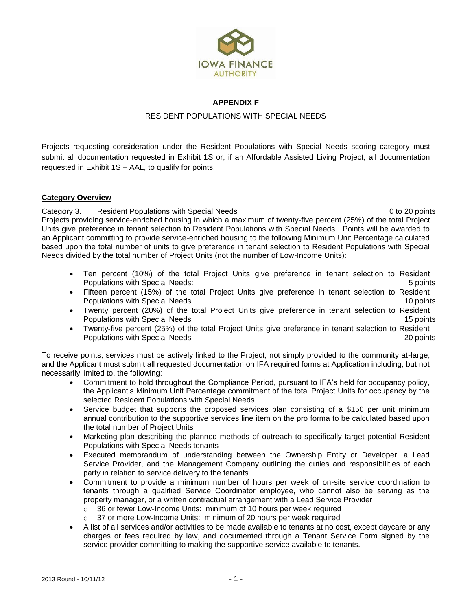

## **APPENDIX F**

## RESIDENT POPULATIONS WITH SPECIAL NEEDS

Projects requesting consideration under the Resident Populations with Special Needs scoring category must submit all documentation requested in Exhibit 1S or, if an Affordable Assisted Living Project, all documentation requested in Exhibit 1S – AAL, to qualify for points.

#### **Category Overview**

Category 3. Resident Populations with Special Needs 0 to 20 points 0 to 20 points Projects providing service-enriched housing in which a maximum of twenty-five percent (25%) of the total Project Units give preference in tenant selection to Resident Populations with Special Needs. Points will be awarded to an Applicant committing to provide service-enriched housing to the following Minimum Unit Percentage calculated based upon the total number of units to give preference in tenant selection to Resident Populations with Special Needs divided by the total number of Project Units (not the number of Low-Income Units):

- Ten percent (10%) of the total Project Units give preference in tenant selection to Resident Populations with Special Needs: 5 points
- Fifteen percent (15%) of the total Project Units give preference in tenant selection to Resident **Populations with Special Needs** 10 points 10 points 10 points 10 points 10 points 10 points 10 points 10 points 10 points 10 points 10 points 10 points 10 points 10 points 10 points 10 points 10 points 10 points 10 points
- Twenty percent (20%) of the total Project Units give preference in tenant selection to Resident Populations with Special Needs 15 points 15 points 15 points 15 points 15 points 15 points 15 points 15 points
- Twenty-five percent (25%) of the total Project Units give preference in tenant selection to Resident Populations with Special Needs 20 points

To receive points, services must be actively linked to the Project, not simply provided to the community at-large, and the Applicant must submit all requested documentation on IFA required forms at Application including, but not necessarily limited to, the following:

- Commitment to hold throughout the Compliance Period, pursuant to IFA's held for occupancy policy, the Applicant's Minimum Unit Percentage commitment of the total Project Units for occupancy by the selected Resident Populations with Special Needs
- Service budget that supports the proposed services plan consisting of a \$150 per unit minimum annual contribution to the supportive services line item on the pro forma to be calculated based upon the total number of Project Units
- Marketing plan describing the planned methods of outreach to specifically target potential Resident Populations with Special Needs tenants
- Executed memorandum of understanding between the Ownership Entity or Developer, a Lead Service Provider, and the Management Company outlining the duties and responsibilities of each party in relation to service delivery to the tenants
- Commitment to provide a minimum number of hours per week of on-site service coordination to tenants through a qualified Service Coordinator employee, who cannot also be serving as the property manager, or a written contractual arrangement with a Lead Service Provider
	- o 36 or fewer Low-Income Units: minimum of 10 hours per week required
	- o 37 or more Low-Income Units: minimum of 20 hours per week required
- A list of all services and/or activities to be made available to tenants at no cost, except daycare or any charges or fees required by law, and documented through a Tenant Service Form signed by the service provider committing to making the supportive service available to tenants.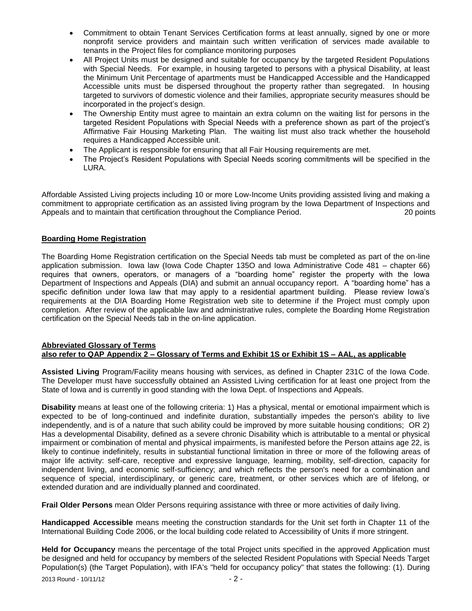- Commitment to obtain Tenant Services Certification forms at least annually, signed by one or more nonprofit service providers and maintain such written verification of services made available to tenants in the Project files for compliance monitoring purposes
- All Project Units must be designed and suitable for occupancy by the targeted Resident Populations with Special Needs. For example, in housing targeted to persons with a physical Disability, at least the Minimum Unit Percentage of apartments must be Handicapped Accessible and the Handicapped Accessible units must be dispersed throughout the property rather than segregated. In housing targeted to survivors of domestic violence and their families, appropriate security measures should be incorporated in the project's design.
- The Ownership Entity must agree to maintain an extra column on the waiting list for persons in the targeted Resident Populations with Special Needs with a preference shown as part of the project's Affirmative Fair Housing Marketing Plan. The waiting list must also track whether the household requires a Handicapped Accessible unit.
- The Applicant is responsible for ensuring that all Fair Housing requirements are met.
- The Project's Resident Populations with Special Needs scoring commitments will be specified in the LURA.

Affordable Assisted Living projects including 10 or more Low-Income Units providing assisted living and making a commitment to appropriate certification as an assisted living program by the Iowa Department of Inspections and Appeals and to maintain that certification throughout the Compliance Period. 20 points

# **Boarding Home Registration**

The Boarding Home Registration certification on the Special Needs tab must be completed as part of the on-line application submission. Iowa law (Iowa Code Chapter 135O and Iowa Administrative Code 481 – chapter 66) requires that owners, operators, or managers of a "boarding home" register the property with the Iowa Department of Inspections and Appeals (DIA) and submit an annual occupancy report. A "boarding home" has a specific definition under Iowa law that may apply to a residential apartment building. Please review Iowa's requirements at the DIA Boarding Home Registration web site to determine if the Project must comply upon completion. After review of the applicable law and administrative rules, complete the Boarding Home Registration certification on the Special Needs tab in the on-line application.

### **Abbreviated Glossary of Terms also refer to QAP Appendix 2 – Glossary of Terms and Exhibit 1S or Exhibit 1S – AAL, as applicable**

**Assisted Living** Program/Facility means housing with services, as defined in Chapter 231C of the Iowa Code. The Developer must have successfully obtained an Assisted Living certification for at least one project from the State of Iowa and is currently in good standing with the Iowa Dept. of Inspections and Appeals.

**Disability** means at least one of the following criteria: 1) Has a physical, mental or emotional impairment which is expected to be of long-continued and indefinite duration, substantially impedes the person's ability to live independently, and is of a nature that such ability could be improved by more suitable housing conditions; OR 2) Has a developmental Disability, defined as a severe chronic Disability which is attributable to a mental or physical impairment or combination of mental and physical impairments, is manifested before the Person attains age 22, is likely to continue indefinitely, results in substantial functional limitation in three or more of the following areas of major life activity: self-care, receptive and expressive language, learning, mobility, self-direction, capacity for independent living, and economic self-sufficiency; and which reflects the person's need for a combination and sequence of special, interdisciplinary, or generic care, treatment, or other services which are of lifelong, or extended duration and are individually planned and coordinated.

**Frail Older Persons** mean Older Persons requiring assistance with three or more activities of daily living.

**Handicapped Accessible** means meeting the construction standards for the Unit set forth in Chapter 11 of the International Building Code 2006, or the local building code related to Accessibility of Units if more stringent.

**Held for Occupancy** means the percentage of the total Project units specified in the approved Application must be designed and held for occupancy by members of the selected Resident Populations with Special Needs Target Population(s) (the Target Population), with IFA's "held for occupancy policy" that states the following: (1). During